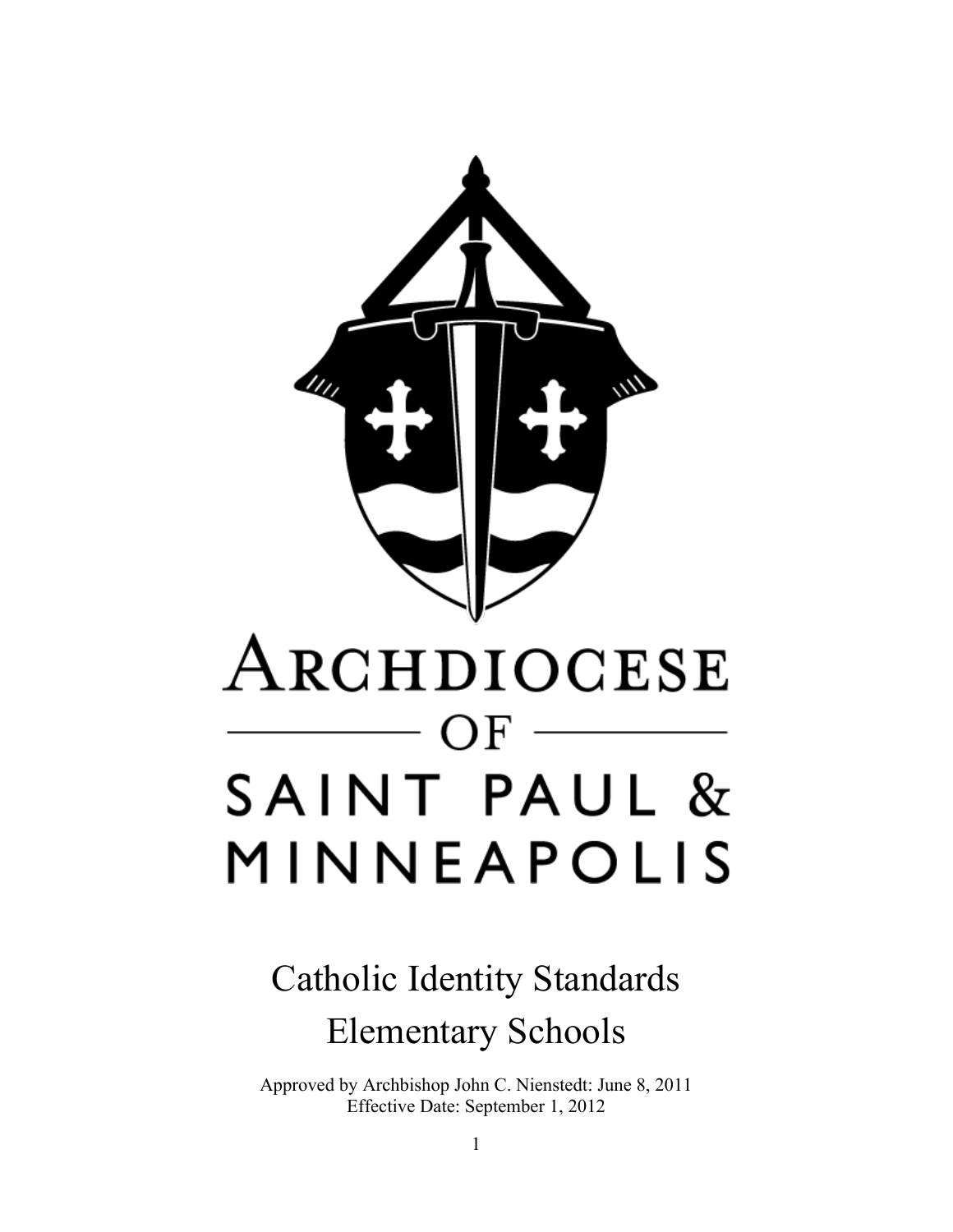

## Catholic Identity Standards Elementary Schools

Approved by Archbishop John C. Nienstedt: June 8, 2011 Effective Date: September 1, 2012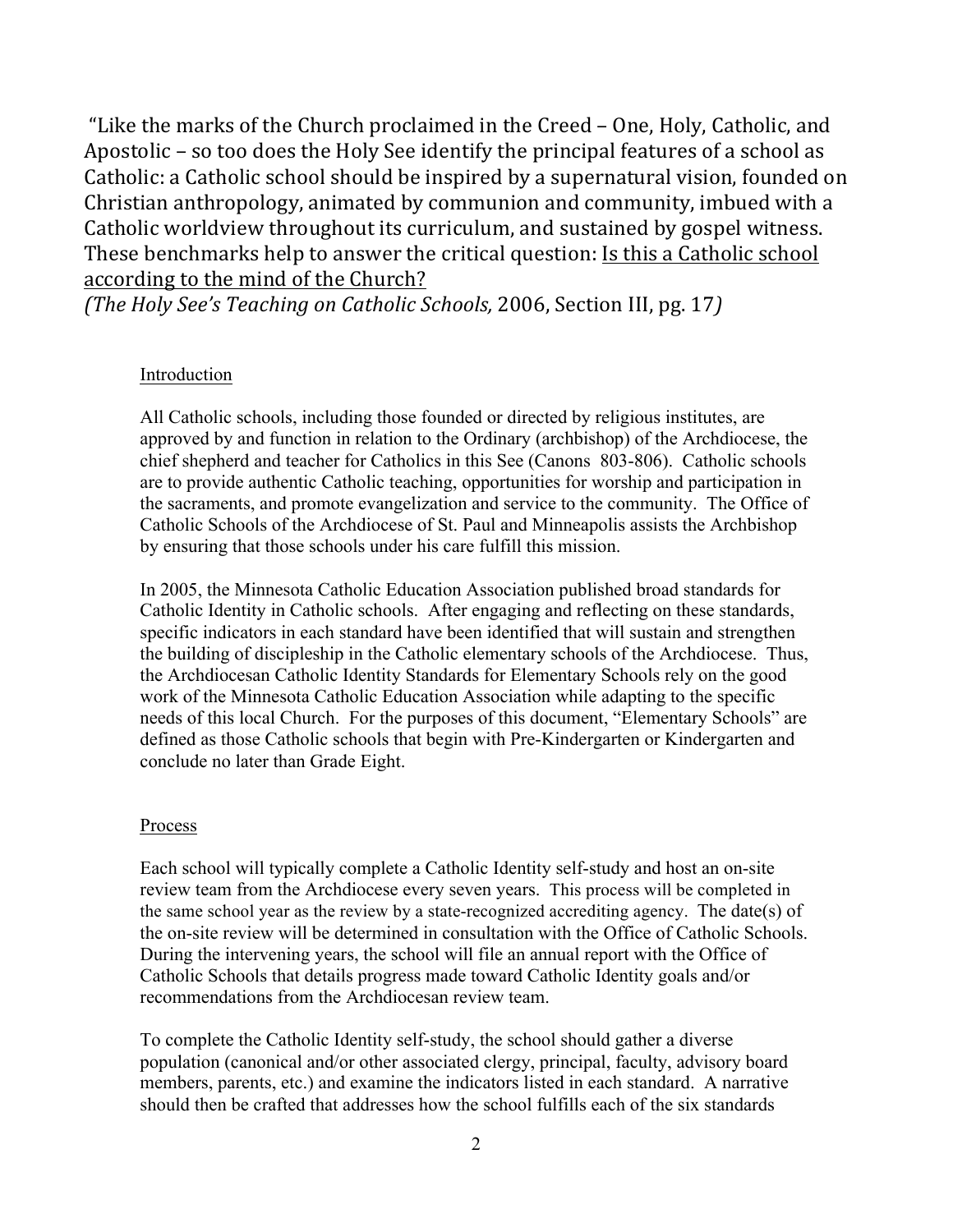"Like the marks of the Church proclaimed in the Creed – One, Holy, Catholic, and Apostolic – so too does the Holy See identify the principal features of a school as Catholic: a Catholic school should be inspired by a supernatural vision, founded on Christian anthropology, animated by communion and community, imbued with a Catholic worldview throughout its curriculum, and sustained by gospel witness. These benchmarks help to answer the critical question: Is this a Catholic school according to the mind of the Church?

*(The Holy See's Teaching on Catholic Schools, 2006, Section III, pg. 17)* 

#### Introduction

All Catholic schools, including those founded or directed by religious institutes, are approved by and function in relation to the Ordinary (archbishop) of the Archdiocese, the chief shepherd and teacher for Catholics in this See (Canons 803-806). Catholic schools are to provide authentic Catholic teaching, opportunities for worship and participation in the sacraments, and promote evangelization and service to the community. The Office of Catholic Schools of the Archdiocese of St. Paul and Minneapolis assists the Archbishop by ensuring that those schools under his care fulfill this mission.

In 2005, the Minnesota Catholic Education Association published broad standards for Catholic Identity in Catholic schools. After engaging and reflecting on these standards, specific indicators in each standard have been identified that will sustain and strengthen the building of discipleship in the Catholic elementary schools of the Archdiocese. Thus, the Archdiocesan Catholic Identity Standards for Elementary Schools rely on the good work of the Minnesota Catholic Education Association while adapting to the specific needs of this local Church. For the purposes of this document, "Elementary Schools" are defined as those Catholic schools that begin with Pre-Kindergarten or Kindergarten and conclude no later than Grade Eight.

#### Process

Each school will typically complete a Catholic Identity self-study and host an on-site review team from the Archdiocese every seven years. This process will be completed in the same school year as the review by a state-recognized accrediting agency. The date(s) of the on-site review will be determined in consultation with the Office of Catholic Schools. During the intervening years, the school will file an annual report with the Office of Catholic Schools that details progress made toward Catholic Identity goals and/or recommendations from the Archdiocesan review team.

To complete the Catholic Identity self-study, the school should gather a diverse population (canonical and/or other associated clergy, principal, faculty, advisory board members, parents, etc.) and examine the indicators listed in each standard. A narrative should then be crafted that addresses how the school fulfills each of the six standards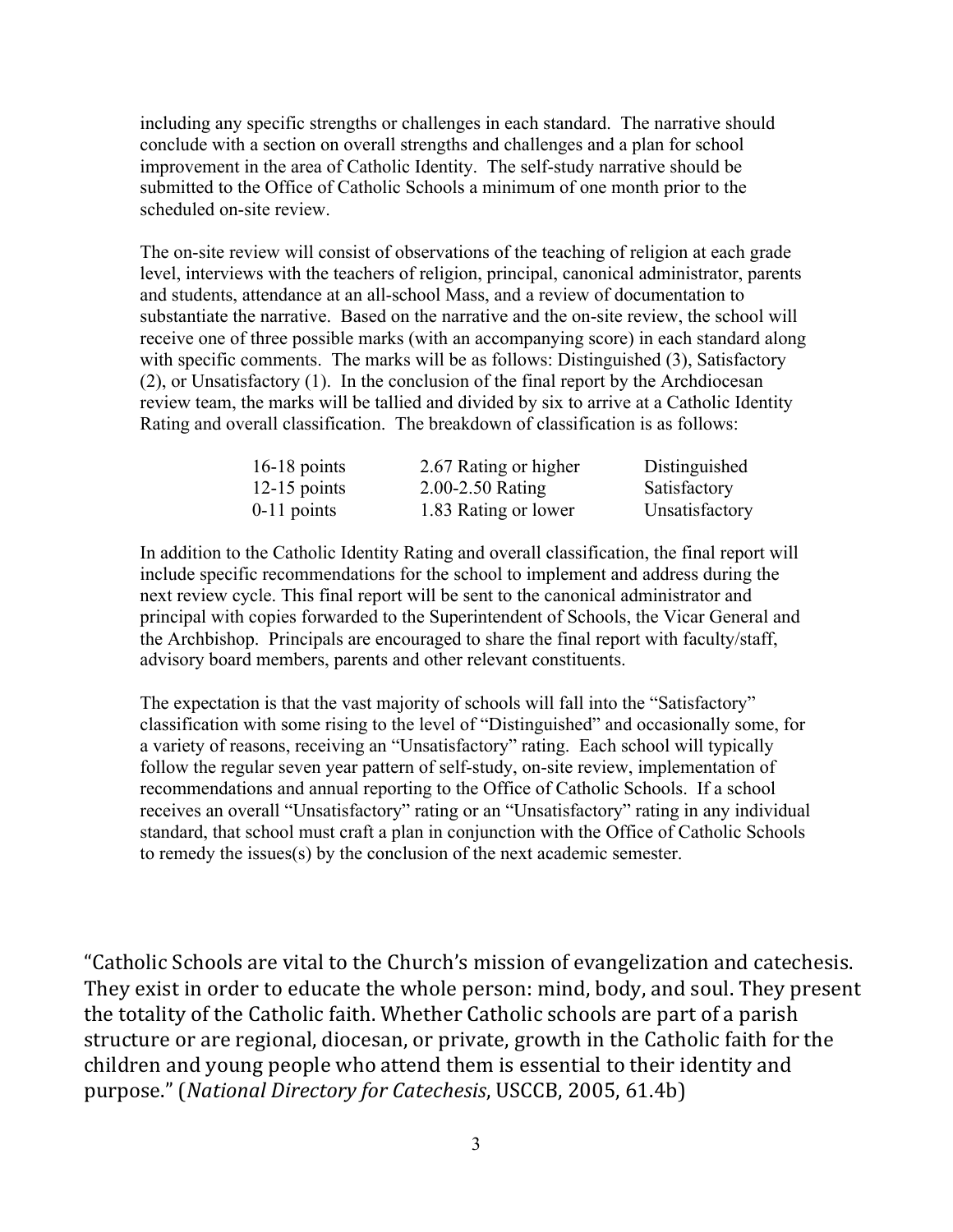including any specific strengths or challenges in each standard. The narrative should conclude with a section on overall strengths and challenges and a plan for school improvement in the area of Catholic Identity. The self-study narrative should be submitted to the Office of Catholic Schools a minimum of one month prior to the scheduled on-site review.

The on-site review will consist of observations of the teaching of religion at each grade level, interviews with the teachers of religion, principal, canonical administrator, parents and students, attendance at an all-school Mass, and a review of documentation to substantiate the narrative. Based on the narrative and the on-site review, the school will receive one of three possible marks (with an accompanying score) in each standard along with specific comments. The marks will be as follows: Distinguished (3), Satisfactory (2), or Unsatisfactory (1). In the conclusion of the final report by the Archdiocesan review team, the marks will be tallied and divided by six to arrive at a Catholic Identity Rating and overall classification. The breakdown of classification is as follows:

| $16-18$ points | 2.67 Rating or higher | Distinguished  |
|----------------|-----------------------|----------------|
| $12-15$ points | 2.00-2.50 Rating      | Satisfactory   |
| $0-11$ points  | 1.83 Rating or lower  | Unsatisfactory |

In addition to the Catholic Identity Rating and overall classification, the final report will include specific recommendations for the school to implement and address during the next review cycle. This final report will be sent to the canonical administrator and principal with copies forwarded to the Superintendent of Schools, the Vicar General and the Archbishop. Principals are encouraged to share the final report with faculty/staff, advisory board members, parents and other relevant constituents.

The expectation is that the vast majority of schools will fall into the "Satisfactory" classification with some rising to the level of "Distinguished" and occasionally some, for a variety of reasons, receiving an "Unsatisfactory" rating. Each school will typically follow the regular seven year pattern of self-study, on-site review, implementation of recommendations and annual reporting to the Office of Catholic Schools. If a school receives an overall "Unsatisfactory" rating or an "Unsatisfactory" rating in any individual standard, that school must craft a plan in conjunction with the Office of Catholic Schools to remedy the issues(s) by the conclusion of the next academic semester.

"Catholic Schools are vital to the Church's mission of evangelization and catechesis. They exist in order to educate the whole person: mind, body, and soul. They present the totality of the Catholic faith. Whether Catholic schools are part of a parish structure or are regional, diocesan, or private, growth in the Catholic faith for the children and young people who attend them is essential to their identity and purpose." (*National Directory for Catechesis*, USCCB, 2005, 61.4b)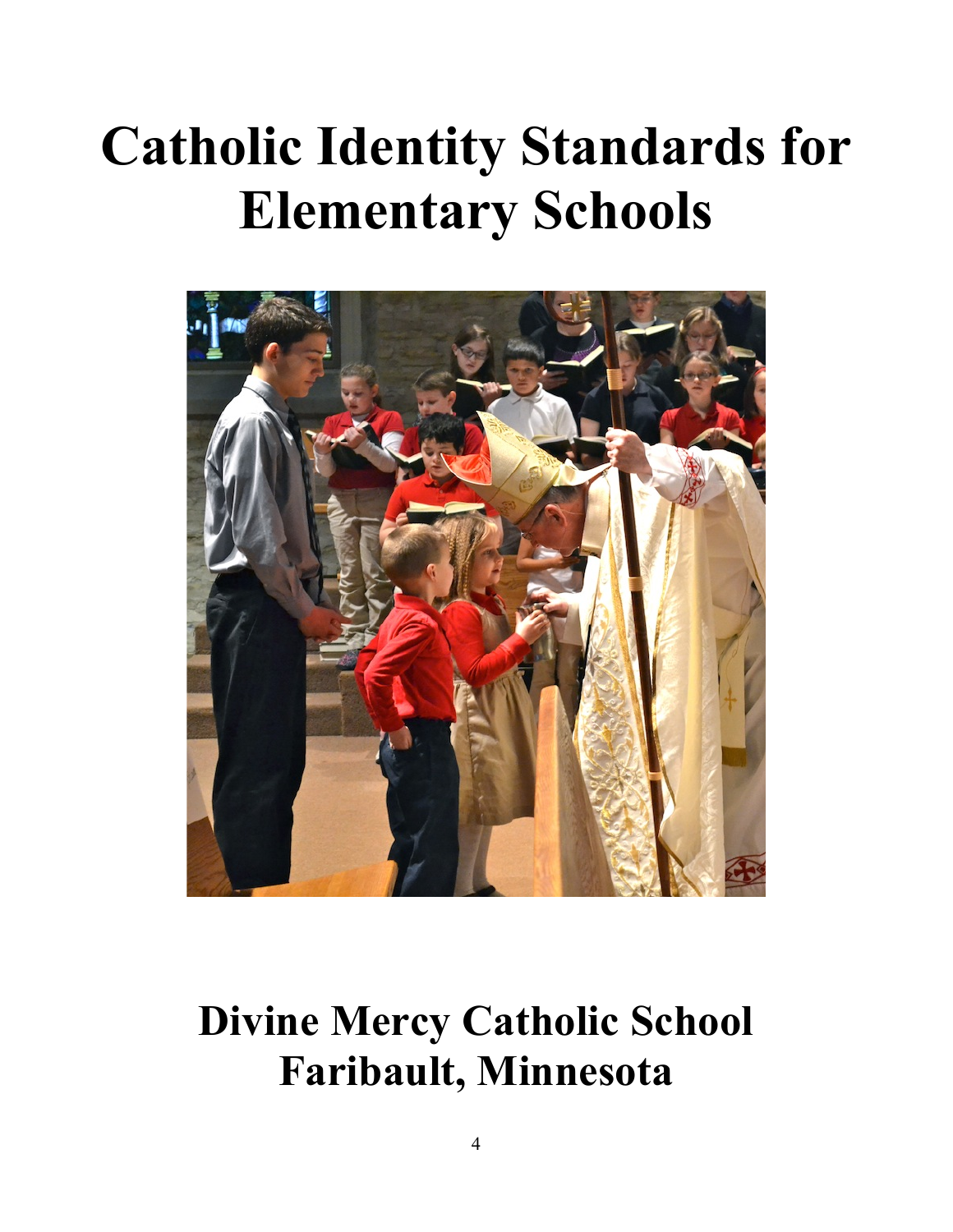# **Catholic Identity Standards for Elementary Schools**



## **Divine Mercy Catholic School Faribault, Minnesota**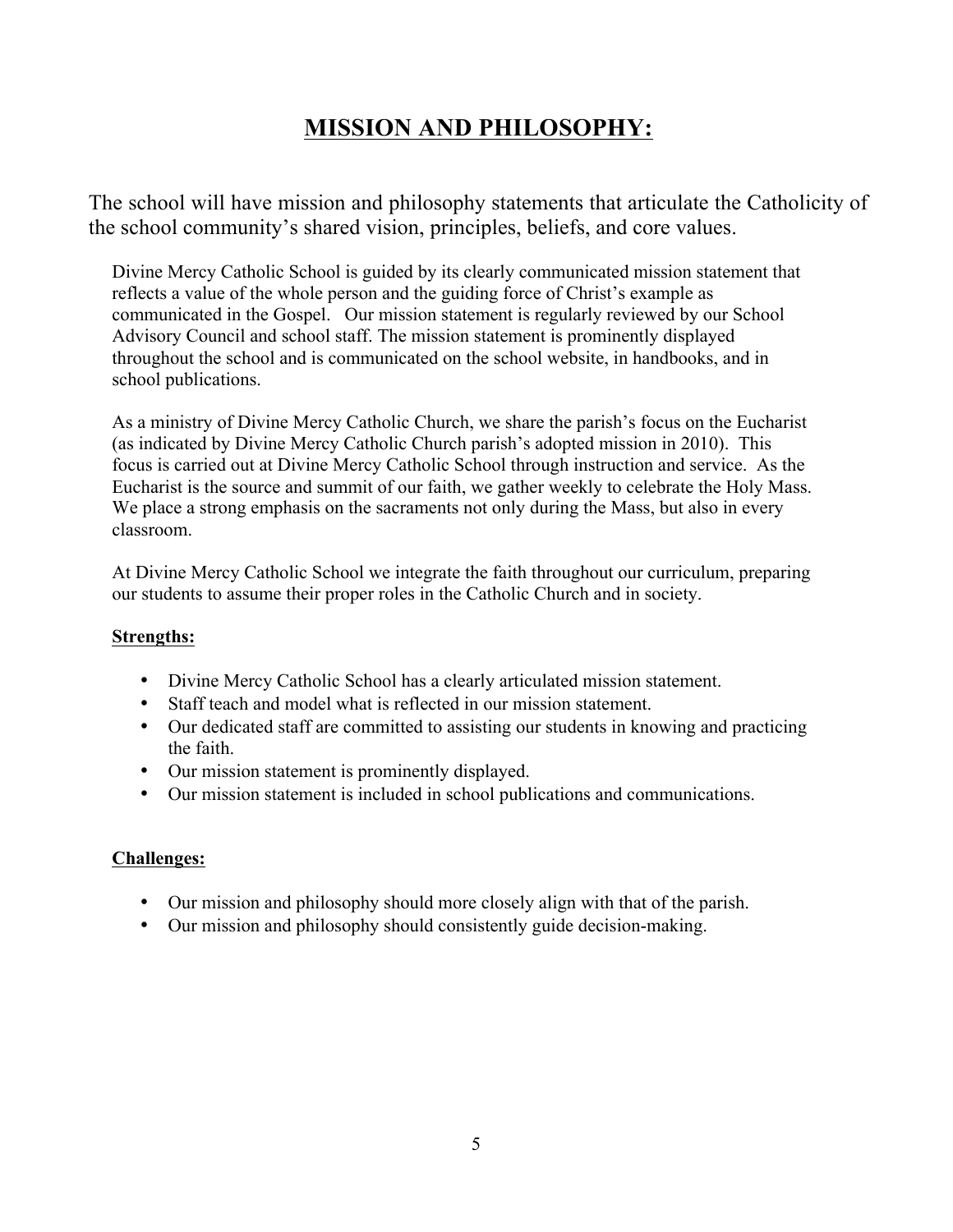## **MISSION AND PHILOSOPHY:**

The school will have mission and philosophy statements that articulate the Catholicity of the school community's shared vision, principles, beliefs, and core values.

Divine Mercy Catholic School is guided by its clearly communicated mission statement that reflects a value of the whole person and the guiding force of Christ's example as communicated in the Gospel. Our mission statement is regularly reviewed by our School Advisory Council and school staff. The mission statement is prominently displayed throughout the school and is communicated on the school website, in handbooks, and in school publications.

As a ministry of Divine Mercy Catholic Church, we share the parish's focus on the Eucharist (as indicated by Divine Mercy Catholic Church parish's adopted mission in 2010). This focus is carried out at Divine Mercy Catholic School through instruction and service. As the Eucharist is the source and summit of our faith, we gather weekly to celebrate the Holy Mass. We place a strong emphasis on the sacraments not only during the Mass, but also in every classroom.

At Divine Mercy Catholic School we integrate the faith throughout our curriculum, preparing our students to assume their proper roles in the Catholic Church and in society.

#### **Strengths:**

- Divine Mercy Catholic School has a clearly articulated mission statement.
- Staff teach and model what is reflected in our mission statement.
- Our dedicated staff are committed to assisting our students in knowing and practicing the faith.
- Our mission statement is prominently displayed.
- Our mission statement is included in school publications and communications.

- Our mission and philosophy should more closely align with that of the parish.
- Our mission and philosophy should consistently guide decision-making.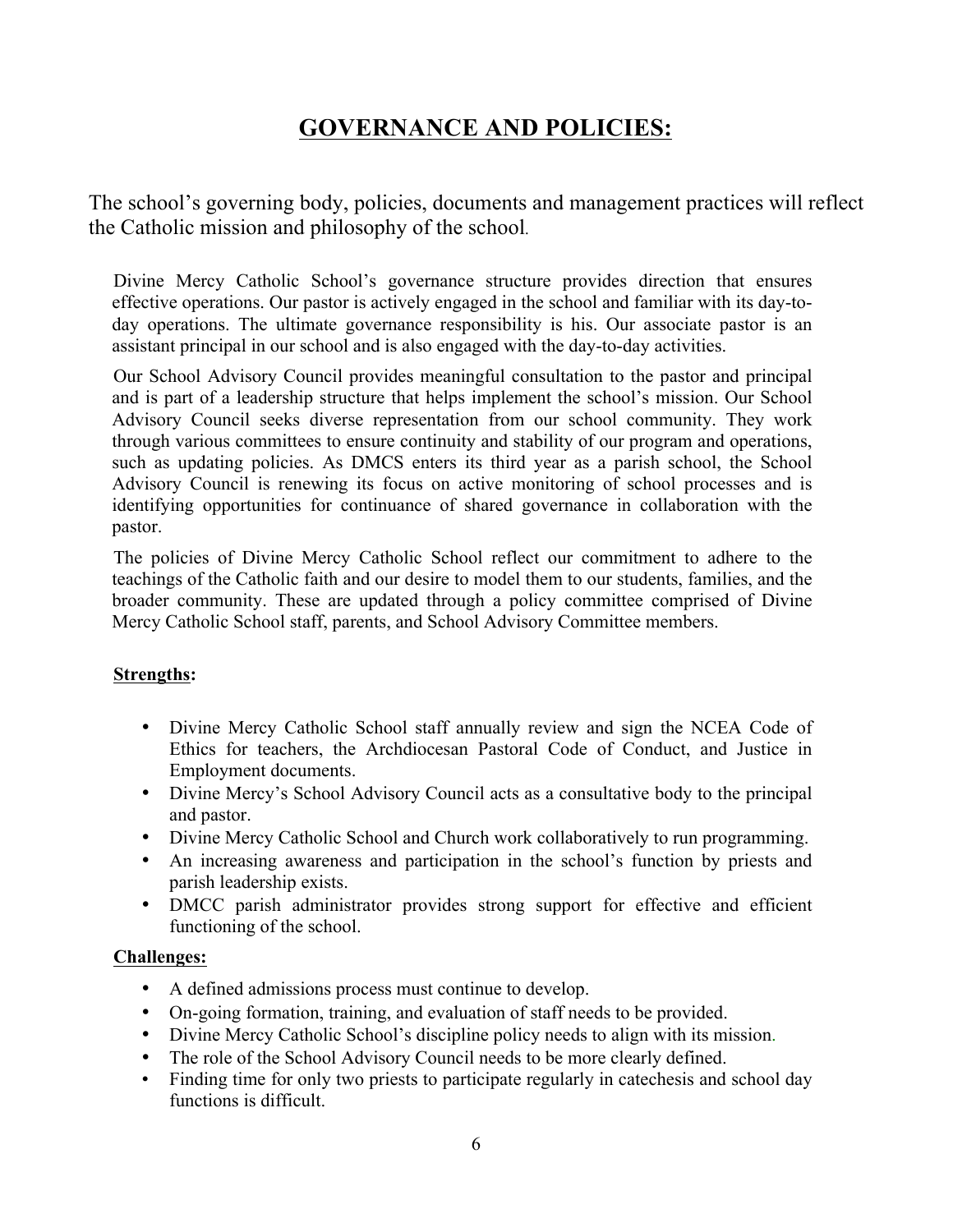## **GOVERNANCE AND POLICIES:**

The school's governing body, policies, documents and management practices will reflect the Catholic mission and philosophy of the school.

Divine Mercy Catholic School's governance structure provides direction that ensures effective operations. Our pastor is actively engaged in the school and familiar with its day-today operations. The ultimate governance responsibility is his. Our associate pastor is an assistant principal in our school and is also engaged with the day-to-day activities.

Our School Advisory Council provides meaningful consultation to the pastor and principal and is part of a leadership structure that helps implement the school's mission. Our School Advisory Council seeks diverse representation from our school community. They work through various committees to ensure continuity and stability of our program and operations, such as updating policies. As DMCS enters its third year as a parish school, the School Advisory Council is renewing its focus on active monitoring of school processes and is identifying opportunities for continuance of shared governance in collaboration with the pastor.

The policies of Divine Mercy Catholic School reflect our commitment to adhere to the teachings of the Catholic faith and our desire to model them to our students, families, and the broader community. These are updated through a policy committee comprised of Divine Mercy Catholic School staff, parents, and School Advisory Committee members.

#### **Strengths:**

- Divine Mercy Catholic School staff annually review and sign the NCEA Code of Ethics for teachers, the Archdiocesan Pastoral Code of Conduct, and Justice in Employment documents.
- Divine Mercy's School Advisory Council acts as a consultative body to the principal and pastor.
- Divine Mercy Catholic School and Church work collaboratively to run programming.
- An increasing awareness and participation in the school's function by priests and parish leadership exists.
- DMCC parish administrator provides strong support for effective and efficient functioning of the school.

- A defined admissions process must continue to develop.
- On-going formation, training, and evaluation of staff needs to be provided.
- Divine Mercy Catholic School's discipline policy needs to align with its mission.
- The role of the School Advisory Council needs to be more clearly defined.
- Finding time for only two priests to participate regularly in cate chesis and school day functions is difficult.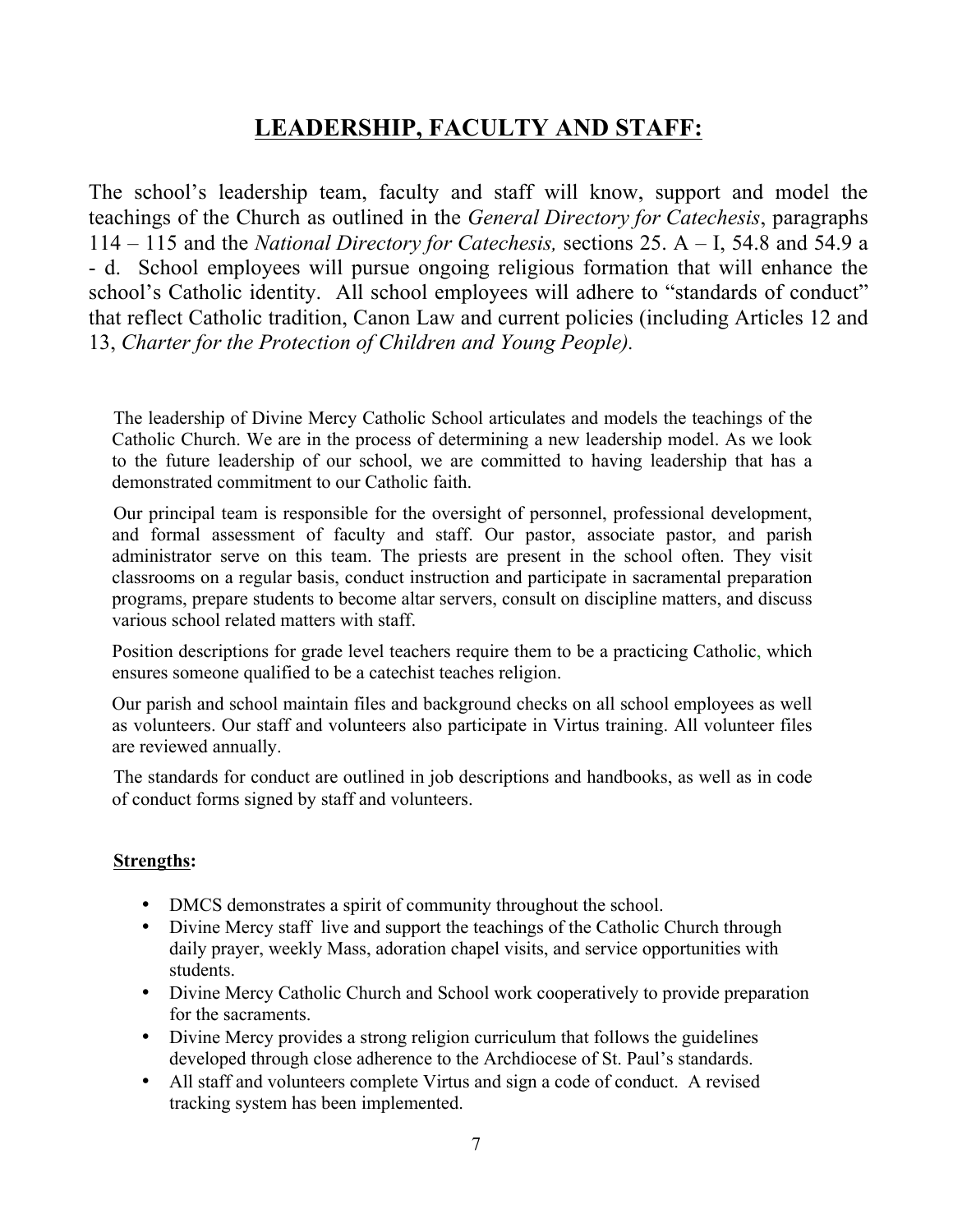## **LEADERSHIP, FACULTY AND STAFF:**

The school's leadership team, faculty and staff will know, support and model the teachings of the Church as outlined in the *General Directory for Catechesis*, paragraphs 114 – 115 and the *National Directory for Catechesis,* sections 25. A – I, 54.8 and 54.9 a - d. School employees will pursue ongoing religious formation that will enhance the school's Catholic identity. All school employees will adhere to "standards of conduct" that reflect Catholic tradition, Canon Law and current policies (including Articles 12 and 13, *Charter for the Protection of Children and Young People).*

The leadership of Divine Mercy Catholic School articulates and models the teachings of the Catholic Church. We are in the process of determining a new leadership model. As we look to the future leadership of our school, we are committed to having leadership that has a demonstrated commitment to our Catholic faith.

Our principal team is responsible for the oversight of personnel, professional development, and formal assessment of faculty and staff. Our pastor, associate pastor, and parish administrator serve on this team. The priests are present in the school often. They visit classrooms on a regular basis, conduct instruction and participate in sacramental preparation programs, prepare students to become altar servers, consult on discipline matters, and discuss various school related matters with staff.

Position descriptions for grade level teachers require them to be a practicing Catholic, which ensures someone qualified to be a catechist teaches religion.

Our parish and school maintain files and background checks on all school employees as well as volunteers. Our staff and volunteers also participate in Virtus training. All volunteer files are reviewed annually.

The standards for conduct are outlined in job descriptions and handbooks, as well as in code of conduct forms signed by staff and volunteers.

#### **Strengths:**

- DMCS demonstrates a spirit of community throughout the school.
- Divine Mercy staff live and support the teachings of the Catholic Church through daily prayer, weekly Mass, adoration chapel visits, and service opportunities with students.
- Divine Mercy Catholic Church and School work cooperatively to provide preparation for the sacraments.
- Divine Mercy provides a strong religion curriculum that follows the guidelines developed through close adherence to the Archdiocese of St. Paul's standards.
- All staff and volunteers complete Virtus and sign a code of conduct. A revised tracking system has been implemented.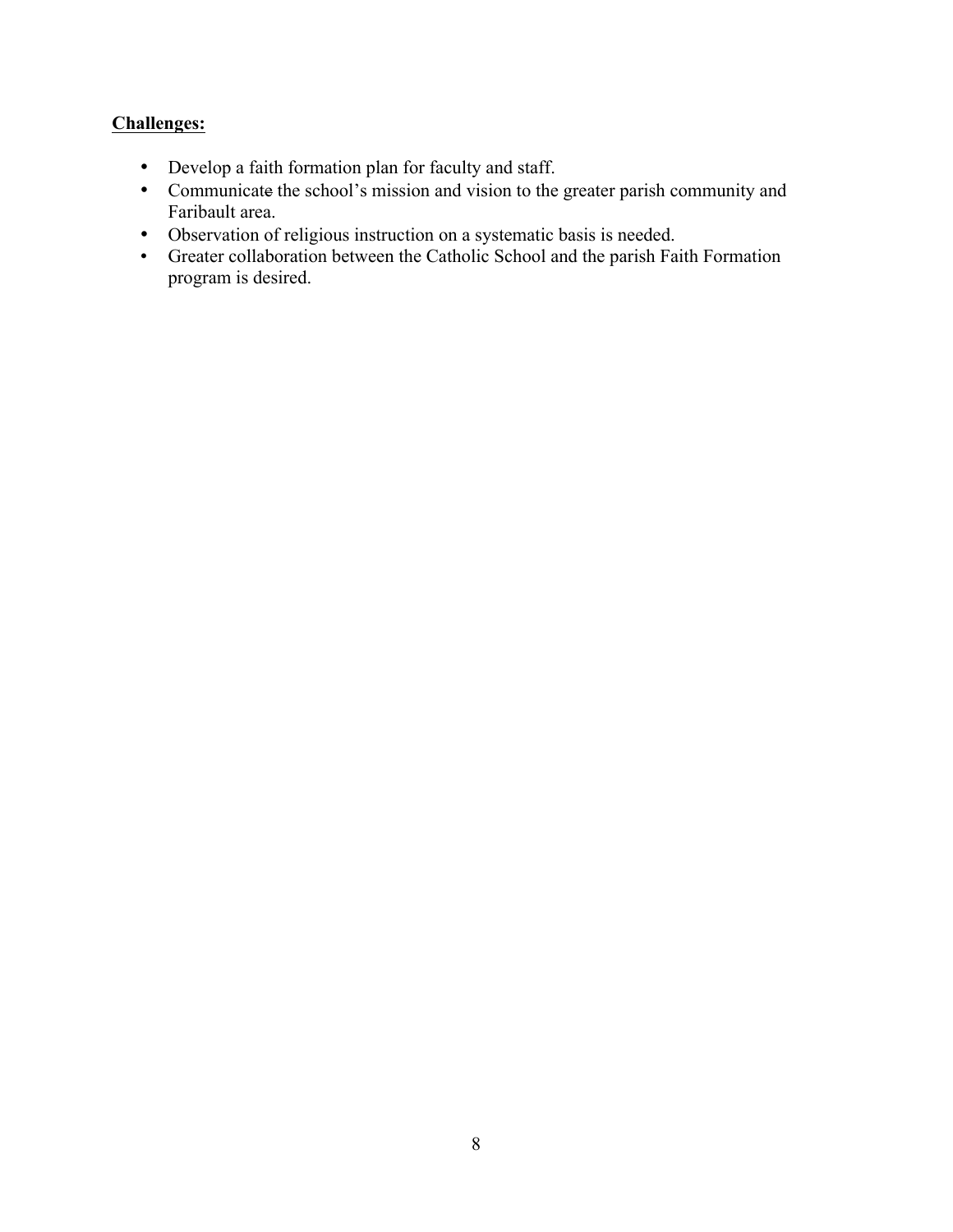- Develop a faith formation plan for faculty and staff.
- Communicate the school's mission and vision to the greater parish community and Faribault area.
- Observation of religious instruction on a systematic basis is needed.
- Greater collaboration between the Catholic School and the parish Faith Formation program is desired.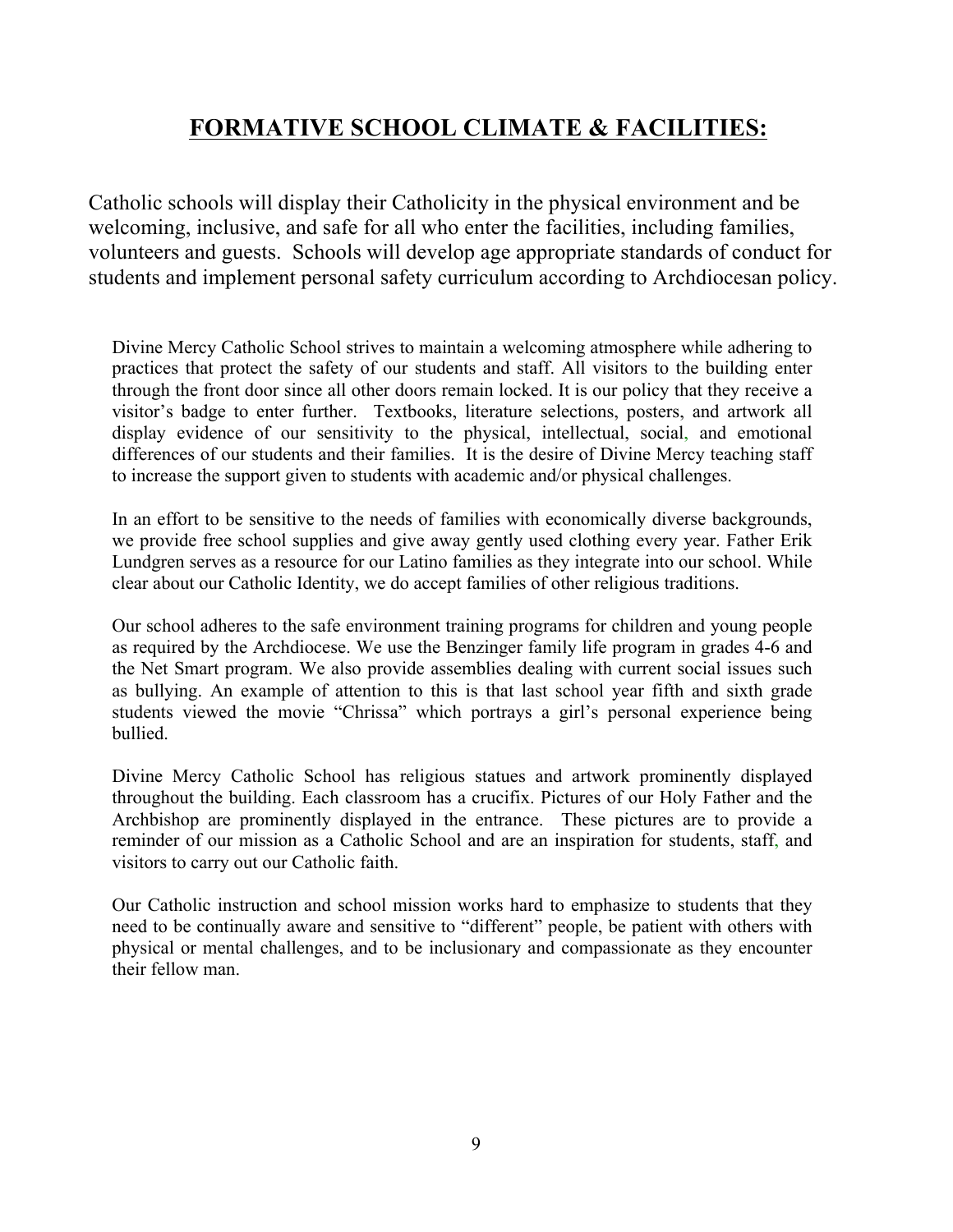## **FORMATIVE SCHOOL CLIMATE & FACILITIES:**

Catholic schools will display their Catholicity in the physical environment and be welcoming, inclusive, and safe for all who enter the facilities, including families, volunteers and guests. Schools will develop age appropriate standards of conduct for students and implement personal safety curriculum according to Archdiocesan policy.

Divine Mercy Catholic School strives to maintain a welcoming atmosphere while adhering to practices that protect the safety of our students and staff. All visitors to the building enter through the front door since all other doors remain locked. It is our policy that they receive a visitor's badge to enter further. Textbooks, literature selections, posters, and artwork all display evidence of our sensitivity to the physical, intellectual, social, and emotional differences of our students and their families. It is the desire of Divine Mercy teaching staff to increase the support given to students with academic and/or physical challenges.

In an effort to be sensitive to the needs of families with economically diverse backgrounds, we provide free school supplies and give away gently used clothing every year. Father Erik Lundgren serves as a resource for our Latino families as they integrate into our school. While clear about our Catholic Identity, we do accept families of other religious traditions.

Our school adheres to the safe environment training programs for children and young people as required by the Archdiocese. We use the Benzinger family life program in grades 4-6 and the Net Smart program. We also provide assemblies dealing with current social issues such as bullying. An example of attention to this is that last school year fifth and sixth grade students viewed the movie "Chrissa" which portrays a girl's personal experience being bullied.

Divine Mercy Catholic School has religious statues and artwork prominently displayed throughout the building. Each classroom has a crucifix. Pictures of our Holy Father and the Archbishop are prominently displayed in the entrance. These pictures are to provide a reminder of our mission as a Catholic School and are an inspiration for students, staff, and visitors to carry out our Catholic faith.

Our Catholic instruction and school mission works hard to emphasize to students that they need to be continually aware and sensitive to "different" people, be patient with others with physical or mental challenges, and to be inclusionary and compassionate as they encounter their fellow man.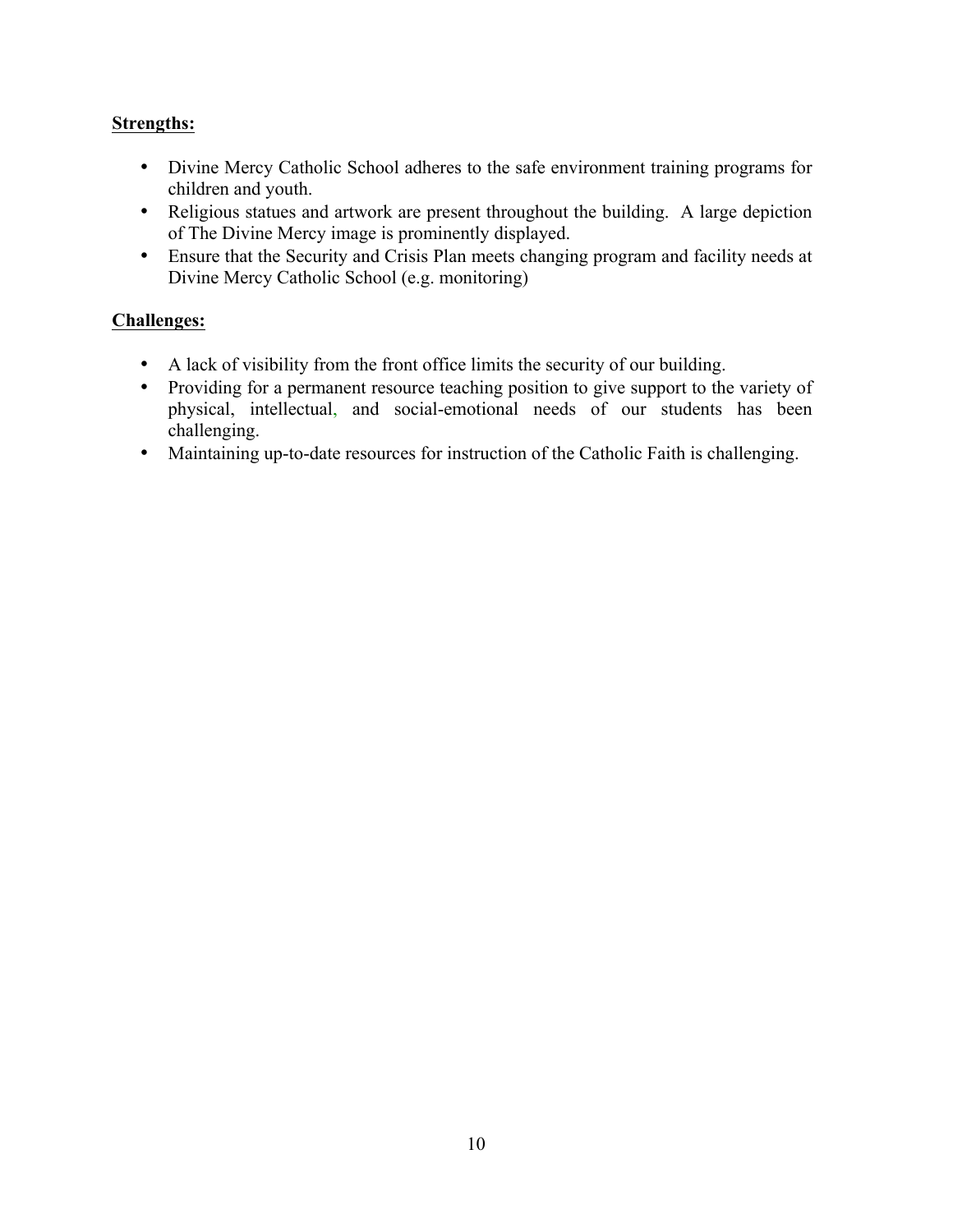#### **Strengths:**

- Divine Mercy Catholic School adheres to the safe environment training programs for children and youth.
- Religious statues and artwork are present throughout the building. A large depiction of The Divine Mercy image is prominently displayed.
- Ensure that the Security and Crisis Plan meets changing program and facility needs at Divine Mercy Catholic School (e.g. monitoring)

- A lack of visibility from the front office limits the security of our building.
- Providing for a permanent resource teaching position to give support to the variety of physical, intellectual, and social-emotional needs of our students has been challenging.
- Maintaining up-to-date resources for instruction of the Catholic Faith is challenging.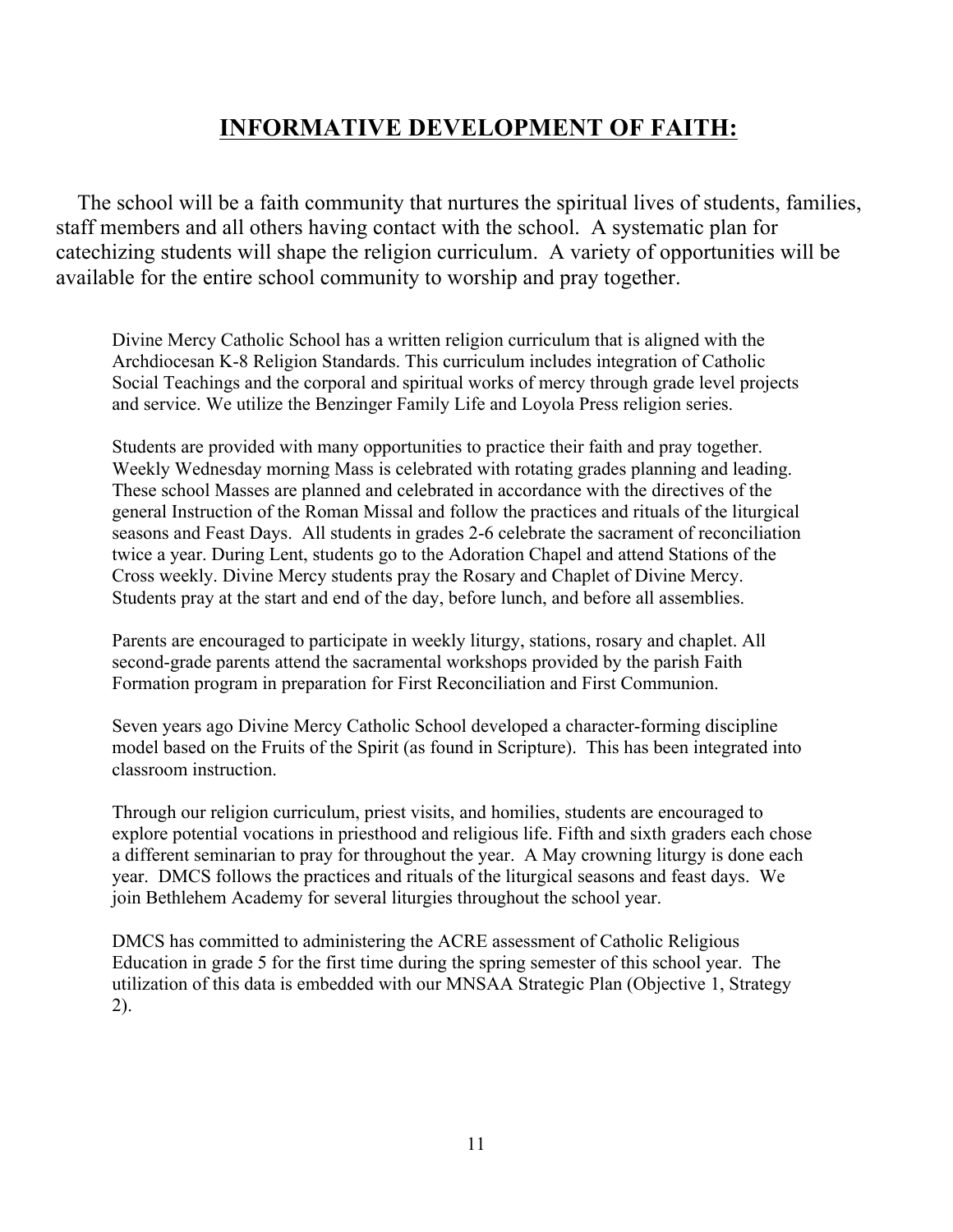## **INFORMATIVE DEVELOPMENT OF FAITH:**

 The school will be a faith community that nurtures the spiritual lives of students, families, staff members and all others having contact with the school. A systematic plan for catechizing students will shape the religion curriculum. A variety of opportunities will be available for the entire school community to worship and pray together.

Divine Mercy Catholic School has a written religion curriculum that is aligned with the Archdiocesan K-8 Religion Standards. This curriculum includes integration of Catholic Social Teachings and the corporal and spiritual works of mercy through grade level projects and service. We utilize the Benzinger Family Life and Loyola Press religion series.

Students are provided with many opportunities to practice their faith and pray together. Weekly Wednesday morning Mass is celebrated with rotating grades planning and leading. These school Masses are planned and celebrated in accordance with the directives of the general Instruction of the Roman Missal and follow the practices and rituals of the liturgical seasons and Feast Days. All students in grades 2-6 celebrate the sacrament of reconciliation twice a year. During Lent, students go to the Adoration Chapel and attend Stations of the Cross weekly. Divine Mercy students pray the Rosary and Chaplet of Divine Mercy. Students pray at the start and end of the day, before lunch, and before all assemblies.

Parents are encouraged to participate in weekly liturgy, stations, rosary and chaplet. All second-grade parents attend the sacramental workshops provided by the parish Faith Formation program in preparation for First Reconciliation and First Communion.

Seven years ago Divine Mercy Catholic School developed a character-forming discipline model based on the Fruits of the Spirit (as found in Scripture). This has been integrated into classroom instruction.

Through our religion curriculum, priest visits, and homilies, students are encouraged to explore potential vocations in priesthood and religious life. Fifth and sixth graders each chose a different seminarian to pray for throughout the year. A May crowning liturgy is done each year. DMCS follows the practices and rituals of the liturgical seasons and feast days. We join Bethlehem Academy for several liturgies throughout the school year.

DMCS has committed to administering the ACRE assessment of Catholic Religious Education in grade 5 for the first time during the spring semester of this school year. The utilization of this data is embedded with our MNSAA Strategic Plan (Objective 1, Strategy 2).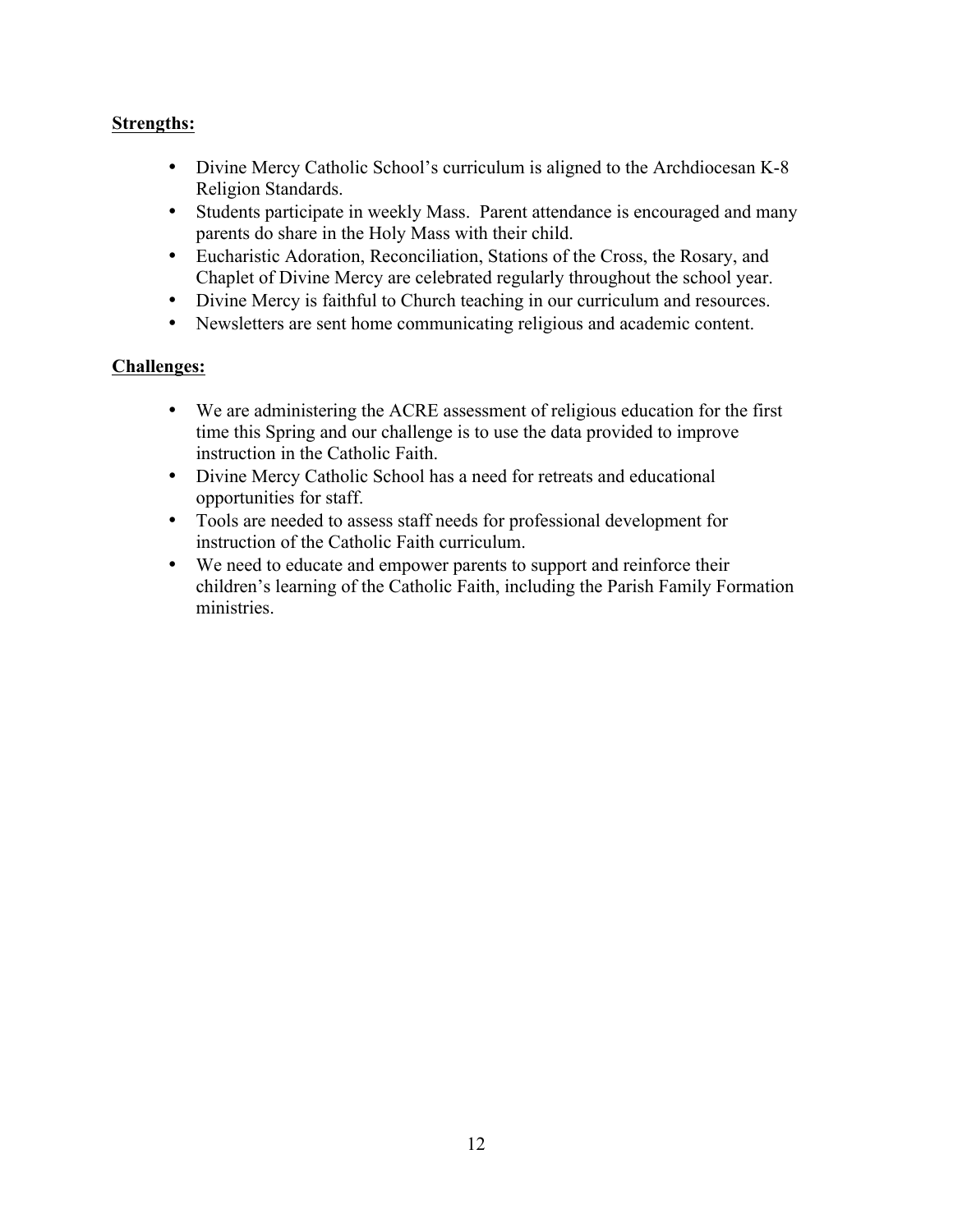#### **Strengths:**

- Divine Mercy Catholic School's curriculum is aligned to the Archdiocesan K-8 Religion Standards.
- Students participate in weekly Mass. Parent attendance is encouraged and many parents do share in the Holy Mass with their child.
- Eucharistic Adoration, Reconciliation, Stations of the Cross, the Rosary, and Chaplet of Divine Mercy are celebrated regularly throughout the school year.
- Divine Mercy is faithful to Church teaching in our curriculum and resources.
- Newsletters are sent home communicating religious and academic content.

- We are administering the ACRE assessment of religious education for the first time this Spring and our challenge is to use the data provided to improve instruction in the Catholic Faith.
- Divine Mercy Catholic School has a need for retreats and educational opportunities for staff.
- Tools are needed to assess staff needs for professional development for instruction of the Catholic Faith curriculum.
- We need to educate and empower parents to support and reinforce their children's learning of the Catholic Faith, including the Parish Family Formation ministries.